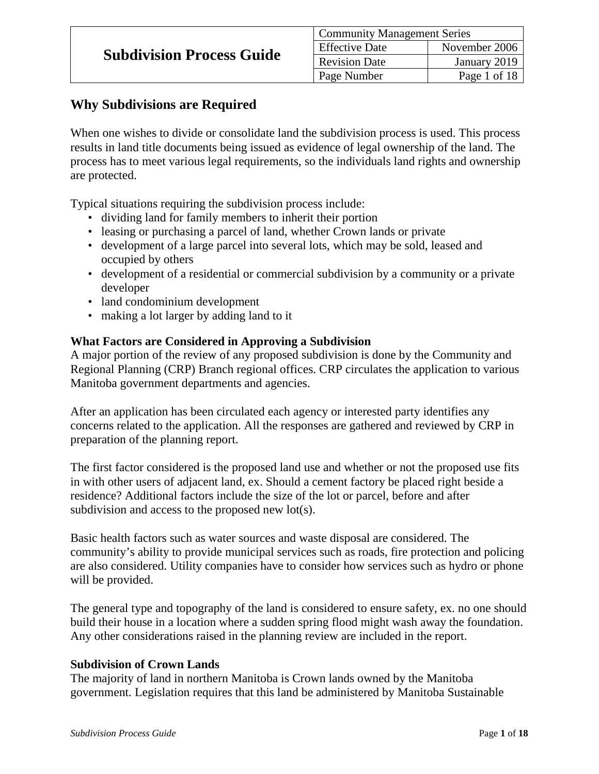# **Why Subdivisions are Required**

When one wishes to divide or consolidate land the subdivision process is used. This process results in land title documents being issued as evidence of legal ownership of the land. The process has to meet various legal requirements, so the individuals land rights and ownership are protected.

Typical situations requiring the subdivision process include:

- dividing land for family members to inherit their portion
- leasing or purchasing a parcel of land, whether Crown lands or private
- development of a large parcel into several lots, which may be sold, leased and occupied by others
- development of a residential or commercial subdivision by a community or a private developer
- land condominium development
- making a lot larger by adding land to it

#### **What Factors are Considered in Approving a Subdivision**

A major portion of the review of any proposed subdivision is done by the Community and Regional Planning (CRP) Branch regional offices. CRP circulates the application to various Manitoba government departments and agencies.

After an application has been circulated each agency or interested party identifies any concerns related to the application. All the responses are gathered and reviewed by CRP in preparation of the planning report.

The first factor considered is the proposed land use and whether or not the proposed use fits in with other users of adjacent land, ex. Should a cement factory be placed right beside a residence? Additional factors include the size of the lot or parcel, before and after subdivision and access to the proposed new lot(s).

Basic health factors such as water sources and waste disposal are considered. The community's ability to provide municipal services such as roads, fire protection and policing are also considered. Utility companies have to consider how services such as hydro or phone will be provided.

The general type and topography of the land is considered to ensure safety, ex. no one should build their house in a location where a sudden spring flood might wash away the foundation. Any other considerations raised in the planning review are included in the report.

#### **Subdivision of Crown Lands**

The majority of land in northern Manitoba is Crown lands owned by the Manitoba government. Legislation requires that this land be administered by Manitoba Sustainable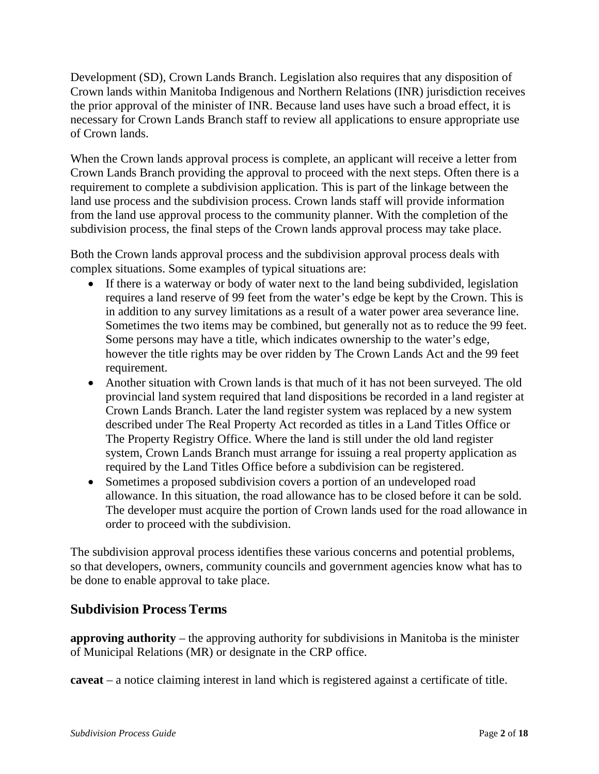Development (SD), Crown Lands Branch. Legislation also requires that any disposition of Crown lands within Manitoba Indigenous and Northern Relations (INR) jurisdiction receives the prior approval of the minister of INR. Because land uses have such a broad effect, it is necessary for Crown Lands Branch staff to review all applications to ensure appropriate use of Crown lands.

When the Crown lands approval process is complete, an applicant will receive a letter from Crown Lands Branch providing the approval to proceed with the next steps. Often there is a requirement to complete a subdivision application. This is part of the linkage between the land use process and the subdivision process. Crown lands staff will provide information from the land use approval process to the community planner. With the completion of the subdivision process, the final steps of the Crown lands approval process may take place.

Both the Crown lands approval process and the subdivision approval process deals with complex situations. Some examples of typical situations are:

- If there is a waterway or body of water next to the land being subdivided, legislation requires a land reserve of 99 feet from the water's edge be kept by the Crown. This is in addition to any survey limitations as a result of a water power area severance line. Sometimes the two items may be combined, but generally not as to reduce the 99 feet. Some persons may have a title, which indicates ownership to the water's edge, however the title rights may be over ridden by The Crown Lands Act and the 99 feet requirement.
- Another situation with Crown lands is that much of it has not been surveyed. The old provincial land system required that land dispositions be recorded in a land register at Crown Lands Branch. Later the land register system was replaced by a new system described under The Real Property Act recorded as titles in a Land Titles Office or The Property Registry Office. Where the land is still under the old land register system, Crown Lands Branch must arrange for issuing a real property application as required by the Land Titles Office before a subdivision can be registered.
- Sometimes a proposed subdivision covers a portion of an undeveloped road allowance. In this situation, the road allowance has to be closed before it can be sold. The developer must acquire the portion of Crown lands used for the road allowance in order to proceed with the subdivision.

The subdivision approval process identifies these various concerns and potential problems, so that developers, owners, community councils and government agencies know what has to be done to enable approval to take place.

# **Subdivision Process Terms**

**approving authority** – the approving authority for subdivisions in Manitoba is the minister of Municipal Relations (MR) or designate in the CRP office.

**caveat** – a notice claiming interest in land which is registered against a certificate of title.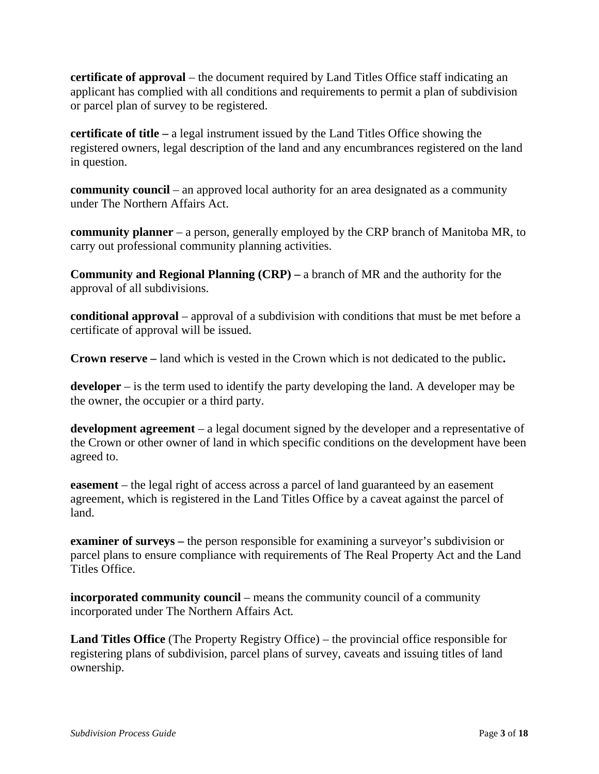**certificate of approval** – the document required by Land Titles Office staff indicating an applicant has complied with all conditions and requirements to permit a plan of subdivision or parcel plan of survey to be registered.

**certificate of title –** a legal instrument issued by the Land Titles Office showing the registered owners, legal description of the land and any encumbrances registered on the land in question.

**community council** – an approved local authority for an area designated as a community under The Northern Affairs Act.

**community planner** – a person, generally employed by the CRP branch of Manitoba MR, to carry out professional community planning activities.

**Community and Regional Planning (CRP) –** a branch of MR and the authority for the approval of all subdivisions.

**conditional approval** – approval of a subdivision with conditions that must be met before a certificate of approval will be issued.

**Crown reserve –** land which is vested in the Crown which is not dedicated to the public**.**

**developer** – is the term used to identify the party developing the land. A developer may be the owner, the occupier or a third party.

**development agreement** – a legal document signed by the developer and a representative of the Crown or other owner of land in which specific conditions on the development have been agreed to.

**easement** – the legal right of access across a parcel of land guaranteed by an easement agreement, which is registered in the Land Titles Office by a caveat against the parcel of land.

**examiner of surveys –** the person responsible for examining a surveyor's subdivision or parcel plans to ensure compliance with requirements of The Real Property Act and the Land Titles Office.

**incorporated community council** – means the community council of a community incorporated under The Northern Affairs Act*.*

**Land Titles Office** (The Property Registry Office) – the provincial office responsible for registering plans of subdivision, parcel plans of survey, caveats and issuing titles of land ownership.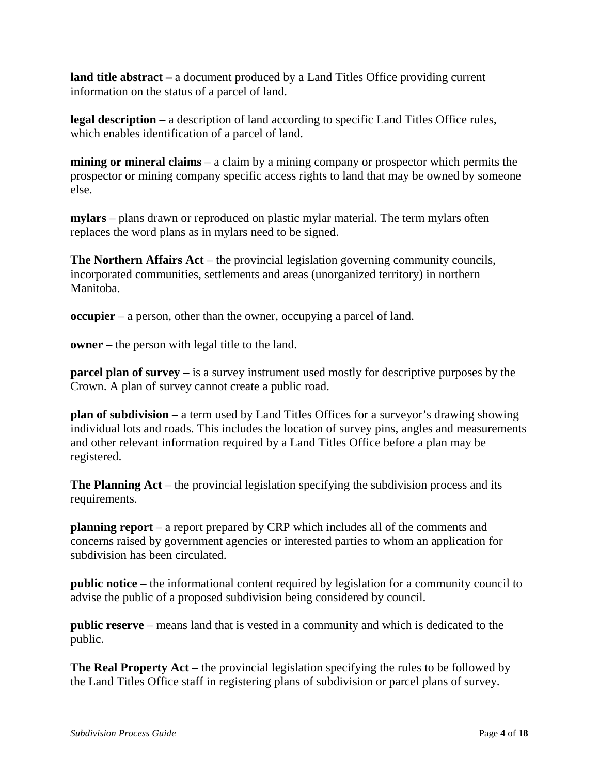**land title abstract –** a document produced by a Land Titles Office providing current information on the status of a parcel of land.

**legal description –** a description of land according to specific Land Titles Office rules, which enables identification of a parcel of land.

**mining or mineral claims** – a claim by a mining company or prospector which permits the prospector or mining company specific access rights to land that may be owned by someone else.

**mylars** – plans drawn or reproduced on plastic mylar material. The term mylars often replaces the word plans as in mylars need to be signed.

**The Northern Affairs Act** – the provincial legislation governing community councils, incorporated communities, settlements and areas (unorganized territory) in northern Manitoba.

**occupier** – a person, other than the owner, occupying a parcel of land.

**owner** – the person with legal title to the land.

**parcel plan of survey** – is a survey instrument used mostly for descriptive purposes by the Crown. A plan of survey cannot create a public road.

**plan of subdivision** – a term used by Land Titles Offices for a surveyor's drawing showing individual lots and roads. This includes the location of survey pins, angles and measurements and other relevant information required by a Land Titles Office before a plan may be registered.

**The Planning Act** – the provincial legislation specifying the subdivision process and its requirements.

**planning report** – a report prepared by CRP which includes all of the comments and concerns raised by government agencies or interested parties to whom an application for subdivision has been circulated.

**public notice** – the informational content required by legislation for a community council to advise the public of a proposed subdivision being considered by council.

**public reserve** – means land that is vested in a community and which is dedicated to the public.

**The Real Property Act** – the provincial legislation specifying the rules to be followed by the Land Titles Office staff in registering plans of subdivision or parcel plans of survey.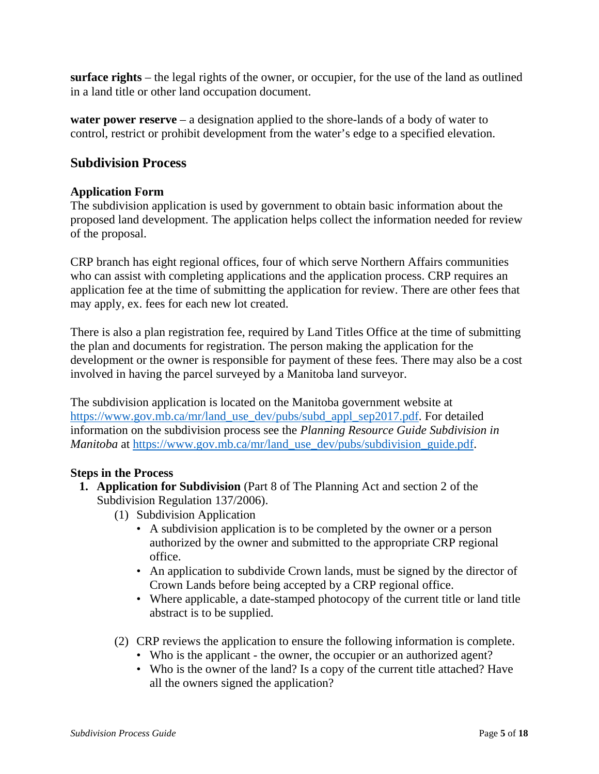**surface rights** – the legal rights of the owner, or occupier, for the use of the land as outlined in a land title or other land occupation document.

**water power reserve** – a designation applied to the shore-lands of a body of water to control, restrict or prohibit development from the water's edge to a specified elevation.

# **Subdivision Process**

#### **Application Form**

The subdivision application is used by government to obtain basic information about the proposed land development. The application helps collect the information needed for review of the proposal.

CRP branch has eight regional offices, four of which serve Northern Affairs communities who can assist with completing applications and the application process. CRP requires an application fee at the time of submitting the application for review. There are other fees that may apply, ex. fees for each new lot created.

There is also a plan registration fee, required by Land Titles Office at the time of submitting the plan and documents for registration. The person making the application for the development or the owner is responsible for payment of these fees. There may also be a cost involved in having the parcel surveyed by a Manitoba land surveyor.

The subdivision application is located on the Manitoba government website at [https://www.gov.mb.ca/mr/land\\_use\\_dev/pubs/subd\\_appl\\_sep2017.pdf.](https://www.gov.mb.ca/mr/land_use_dev/pubs/subd_appl_sep2017.pdf) For detailed information on the subdivision process see the *Planning Resource Guide Subdivision in Manitoba* at [https://www.gov.mb.ca/mr/land\\_use\\_dev/pubs/subdivision\\_guide.pdf.](https://www.gov.mb.ca/mr/land_use_dev/pubs/subdivision_guide.pdf)

#### **Steps in the Process**

- **1. Application for Subdivision** (Part 8 of The Planning Act and section 2 of the Subdivision Regulation 137/2006).
	- (1) Subdivision Application
		- A subdivision application is to be completed by the owner or a person authorized by the owner and submitted to the appropriate CRP regional office.
		- An application to subdivide Crown lands, must be signed by the director of Crown Lands before being accepted by a CRP regional office.
		- Where applicable, a date-stamped photocopy of the current title or land title abstract is to be supplied.
	- (2) CRP reviews the application to ensure the following information is complete.
		- Who is the applicant the owner, the occupier or an authorized agent?
		- Who is the owner of the land? Is a copy of the current title attached? Have all the owners signed the application?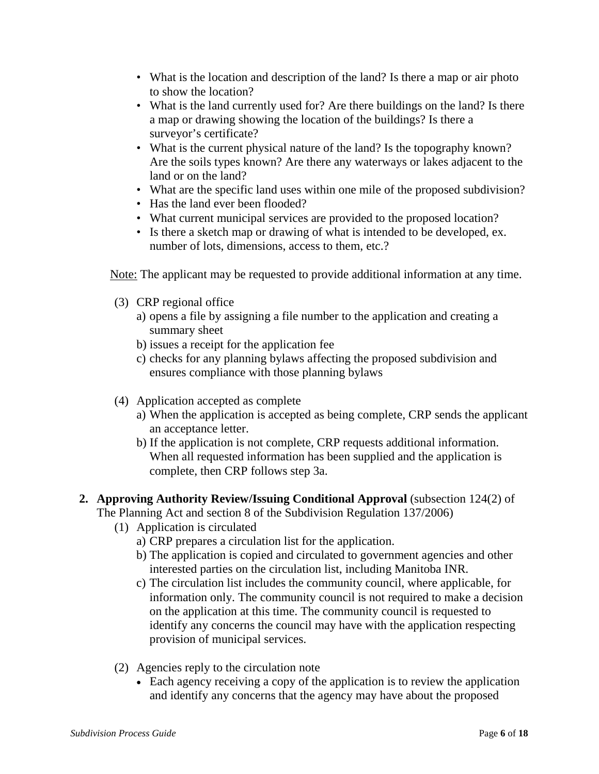- What is the location and description of the land? Is there a map or air photo to show the location?
- What is the land currently used for? Are there buildings on the land? Is there a map or drawing showing the location of the buildings? Is there a surveyor's certificate?
- What is the current physical nature of the land? Is the topography known? Are the soils types known? Are there any waterways or lakes adjacent to the land or on the land?
- What are the specific land uses within one mile of the proposed subdivision?
- Has the land ever been flooded?
- What current municipal services are provided to the proposed location?
- Is there a sketch map or drawing of what is intended to be developed, ex. number of lots, dimensions, access to them, etc.?

Note: The applicant may be requested to provide additional information at any time.

- (3) CRP regional office
	- a) opens a file by assigning a file number to the application and creating a summary sheet
	- b) issues a receipt for the application fee
	- c) checks for any planning bylaws affecting the proposed subdivision and ensures compliance with those planning bylaws
- (4) Application accepted as complete
	- a) When the application is accepted as being complete, CRP sends the applicant an acceptance letter.
	- b) If the application is not complete, CRP requests additional information. When all requested information has been supplied and the application is complete, then CRP follows step 3a.

# **2. Approving Authority Review/Issuing Conditional Approval** (subsection 124(2) of

The Planning Act and section 8 of the Subdivision Regulation 137/2006)

- (1) Application is circulated
	- a) CRP prepares a circulation list for the application.
	- b) The application is copied and circulated to government agencies and other interested parties on the circulation list, including Manitoba INR.
	- c) The circulation list includes the community council, where applicable, for information only. The community council is not required to make a decision on the application at this time. The community council is requested to identify any concerns the council may have with the application respecting provision of municipal services.
- (2) Agencies reply to the circulation note
	- Each agency receiving a copy of the application is to review the application and identify any concerns that the agency may have about the proposed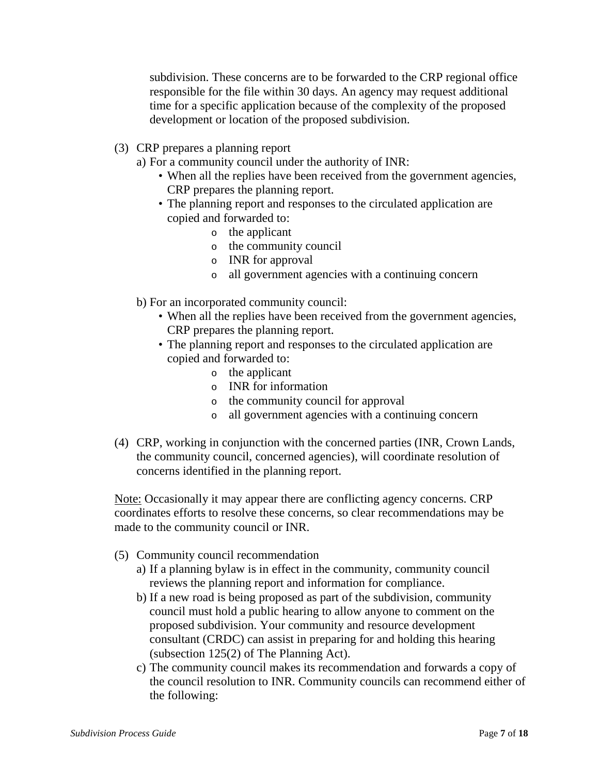subdivision. These concerns are to be forwarded to the CRP regional office responsible for the file within 30 days. An agency may request additional time for a specific application because of the complexity of the proposed development or location of the proposed subdivision.

- (3) CRP prepares a planning report
	- a) For a community council under the authority of INR:
		- When all the replies have been received from the government agencies, CRP prepares the planning report.
		- The planning report and responses to the circulated application are copied and forwarded to:
			- o the applicant
			- o the community council
			- o INR for approval
			- o all government agencies with a continuing concern
	- b) For an incorporated community council:
		- When all the replies have been received from the government agencies, CRP prepares the planning report.
		- The planning report and responses to the circulated application are copied and forwarded to:
			- o the applicant
			- o INR for information
			- o the community council for approval
			- o all government agencies with a continuing concern
- (4) CRP, working in conjunction with the concerned parties (INR, Crown Lands, the community council, concerned agencies), will coordinate resolution of concerns identified in the planning report.

Note: Occasionally it may appear there are conflicting agency concerns. CRP coordinates efforts to resolve these concerns, so clear recommendations may be made to the community council or INR.

- (5) Community council recommendation
	- a) If a planning bylaw is in effect in the community, community council reviews the planning report and information for compliance.
	- b) If a new road is being proposed as part of the subdivision, community council must hold a public hearing to allow anyone to comment on the proposed subdivision. Your community and resource development consultant (CRDC) can assist in preparing for and holding this hearing (subsection 125(2) of The Planning Act).
	- c) The community council makes its recommendation and forwards a copy of the council resolution to INR. Community councils can recommend either of the following: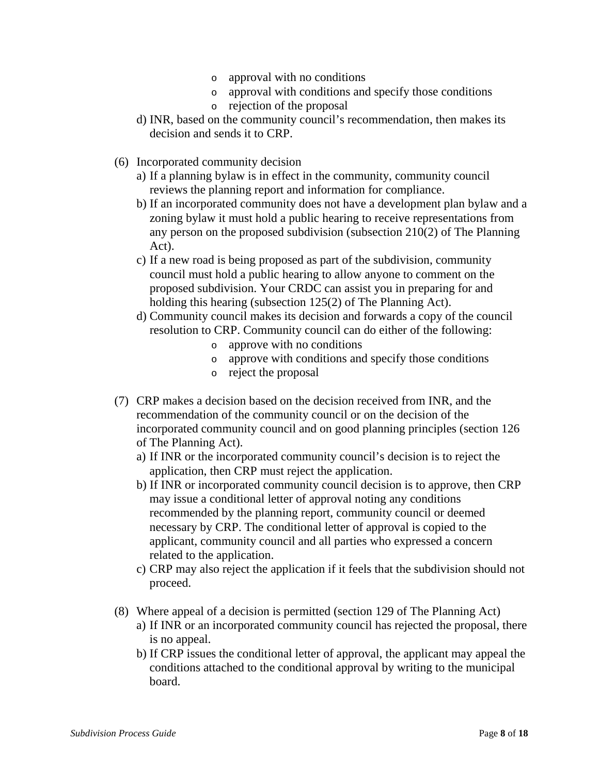- o approval with no conditions
- o approval with conditions and specify those conditions
- o rejection of the proposal
- d) INR, based on the community council's recommendation, then makes its decision and sends it to CRP.
- (6) Incorporated community decision
	- a) If a planning bylaw is in effect in the community, community council reviews the planning report and information for compliance.
	- b) If an incorporated community does not have a development plan bylaw and a zoning bylaw it must hold a public hearing to receive representations from any person on the proposed subdivision (subsection 210(2) of The Planning Act).
	- c) If a new road is being proposed as part of the subdivision, community council must hold a public hearing to allow anyone to comment on the proposed subdivision. Your CRDC can assist you in preparing for and holding this hearing (subsection 125(2) of The Planning Act).
	- d) Community council makes its decision and forwards a copy of the council resolution to CRP. Community council can do either of the following:
		- o approve with no conditions
		- o approve with conditions and specify those conditions
		- o reject the proposal
- (7) CRP makes a decision based on the decision received from INR, and the recommendation of the community council or on the decision of the incorporated community council and on good planning principles (section 126 of The Planning Act).
	- a) If INR or the incorporated community council's decision is to reject the application, then CRP must reject the application.
	- b) If INR or incorporated community council decision is to approve, then CRP may issue a conditional letter of approval noting any conditions recommended by the planning report, community council or deemed necessary by CRP. The conditional letter of approval is copied to the applicant, community council and all parties who expressed a concern related to the application.
	- c) CRP may also reject the application if it feels that the subdivision should not proceed.
- (8) Where appeal of a decision is permitted (section 129 of The Planning Act)
	- a) If INR or an incorporated community council has rejected the proposal, there is no appeal.
	- b) If CRP issues the conditional letter of approval, the applicant may appeal the conditions attached to the conditional approval by writing to the municipal board.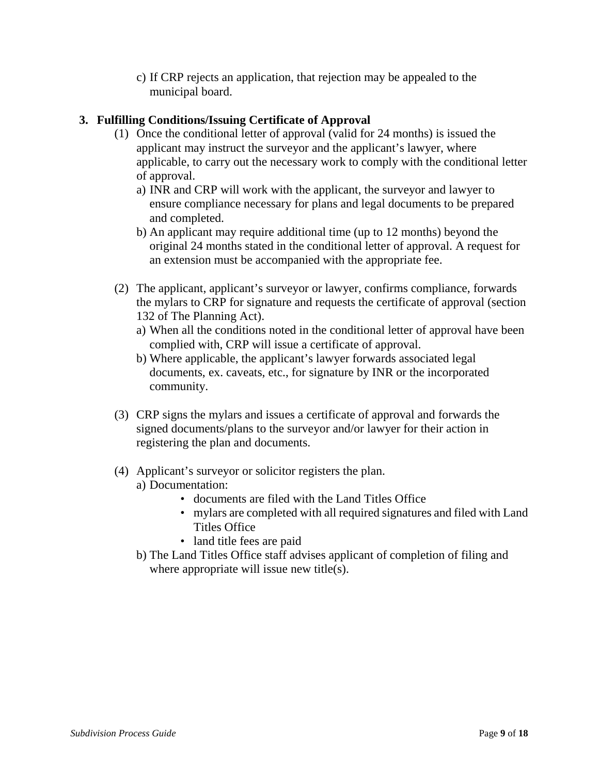c) If CRP rejects an application, that rejection may be appealed to the municipal board.

# **3. Fulfilling Conditions/Issuing Certificate of Approval**

- (1) Once the conditional letter of approval (valid for 24 months) is issued the applicant may instruct the surveyor and the applicant's lawyer, where applicable, to carry out the necessary work to comply with the conditional letter of approval.
	- a) INR and CRP will work with the applicant, the surveyor and lawyer to ensure compliance necessary for plans and legal documents to be prepared and completed.
	- b) An applicant may require additional time (up to 12 months) beyond the original 24 months stated in the conditional letter of approval. A request for an extension must be accompanied with the appropriate fee.
- (2) The applicant, applicant's surveyor or lawyer, confirms compliance, forwards the mylars to CRP for signature and requests the certificate of approval (section 132 of The Planning Act).
	- a) When all the conditions noted in the conditional letter of approval have been complied with, CRP will issue a certificate of approval.
	- b) Where applicable, the applicant's lawyer forwards associated legal documents, ex. caveats, etc., for signature by INR or the incorporated community.
- (3) CRP signs the mylars and issues a certificate of approval and forwards the signed documents/plans to the surveyor and/or lawyer for their action in registering the plan and documents.
- (4) Applicant's surveyor or solicitor registers the plan.
	- a) Documentation:
		- documents are filed with the Land Titles Office
		- mylars are completed with all required signatures and filed with Land Titles Office
		- land title fees are paid
	- b) The Land Titles Office staff advises applicant of completion of filing and where appropriate will issue new title(s).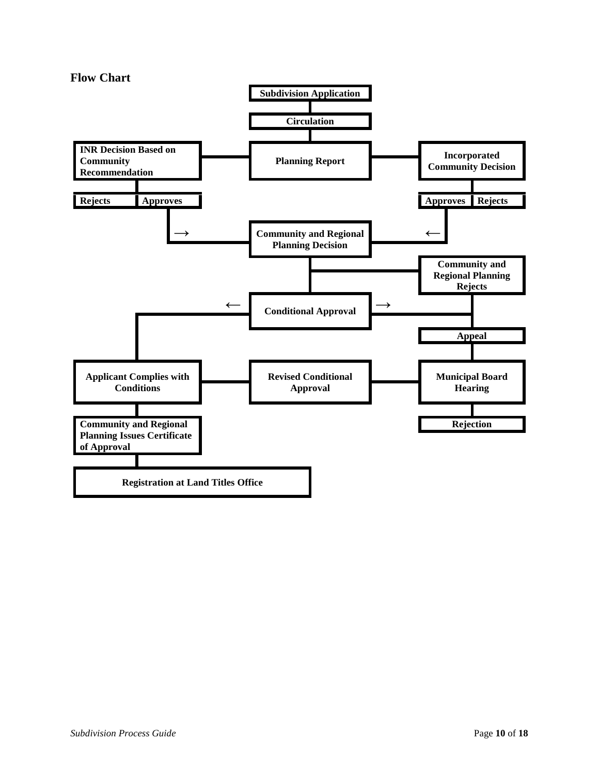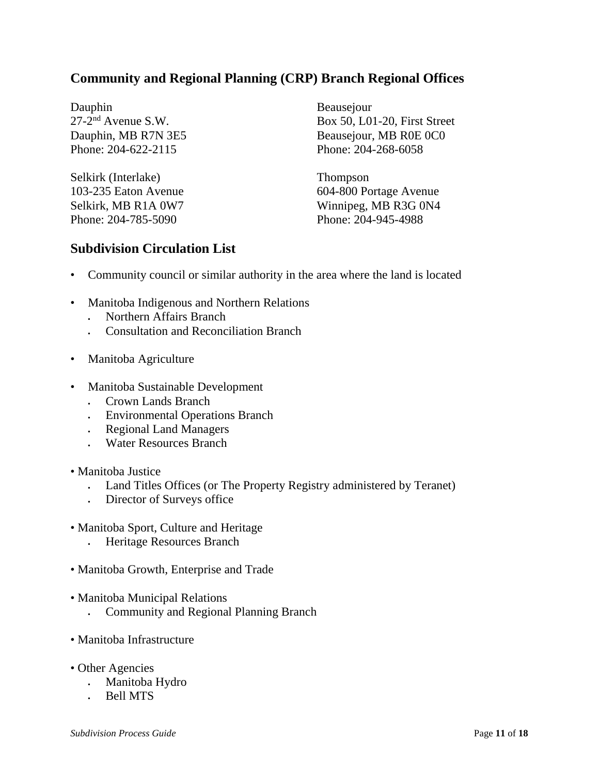# **Community and Regional Planning (CRP) Branch Regional Offices**

Dauphin 27-2nd Avenue S.W. Dauphin, MB R7N 3E5 Phone: 204-622-2115

Selkirk (Interlake) 103-235 Eaton Avenue Selkirk, MB R1A 0W7 Phone: 204-785-5090

Beausejour Box 50, L01-20, First Street Beausejour, MB R0E 0C0 Phone: 204-268-6058

Thompson 604-800 Portage Avenue Winnipeg, MB R3G 0N4 Phone: 204-945-4988

# **Subdivision Circulation List**

- Community council or similar authority in the area where the land is located
- Manitoba Indigenous and Northern Relations
	- Northern Affairs Branch
	- Consultation and Reconciliation Branch
- Manitoba Agriculture
- Manitoba Sustainable Development
	- Crown Lands Branch
	- Environmental Operations Branch
	- Regional Land Managers
	- Water Resources Branch
- Manitoba Justice
	- Land Titles Offices (or The Property Registry administered by Teranet)
	- Director of Surveys office
- Manitoba Sport, Culture and Heritage
	- Heritage Resources Branch
- Manitoba Growth, Enterprise and Trade
- Manitoba Municipal Relations
	- Community and Regional Planning Branch
- Manitoba Infrastructure
- Other Agencies
	- Manitoba Hydro
	- Bell MTS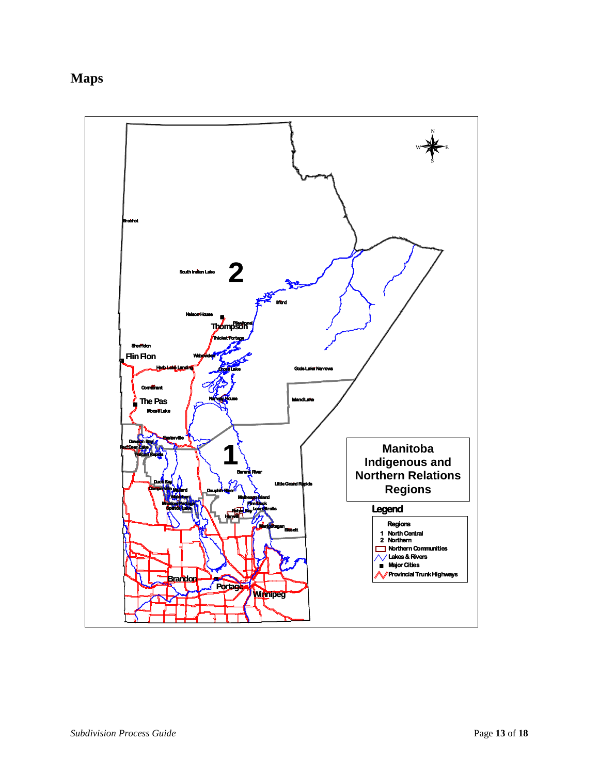# **Maps**

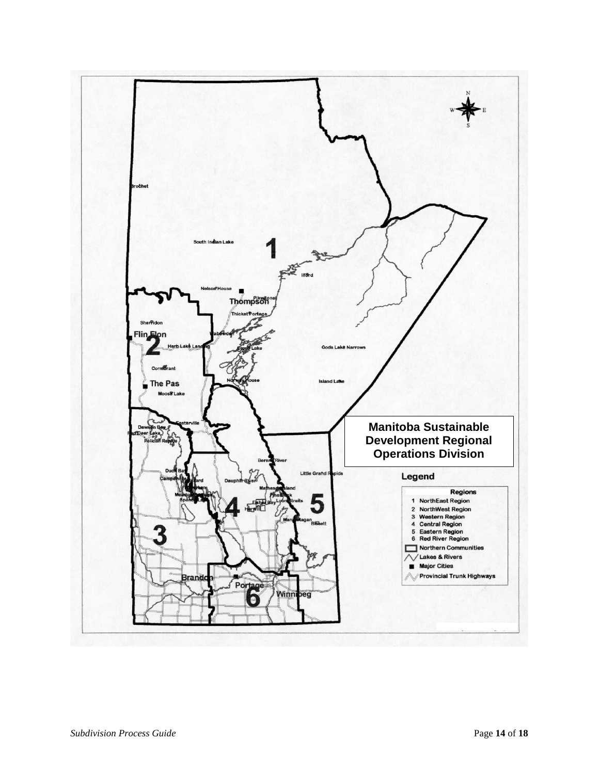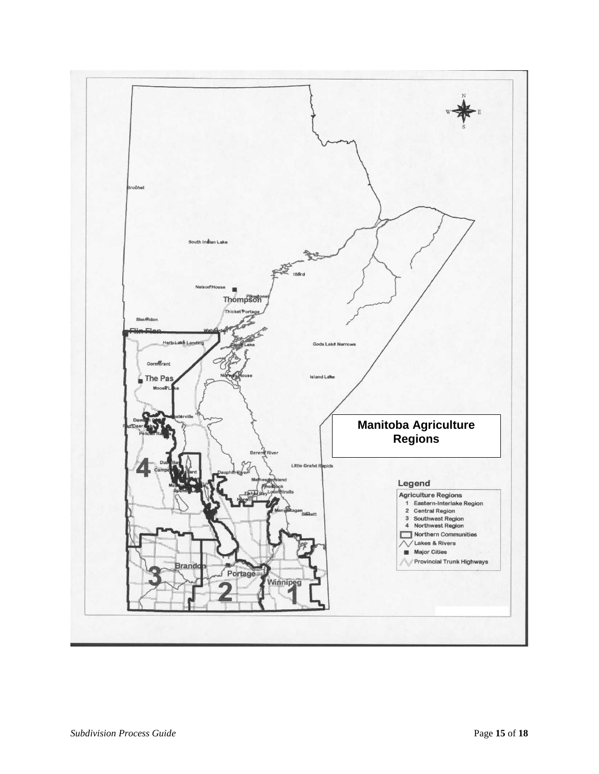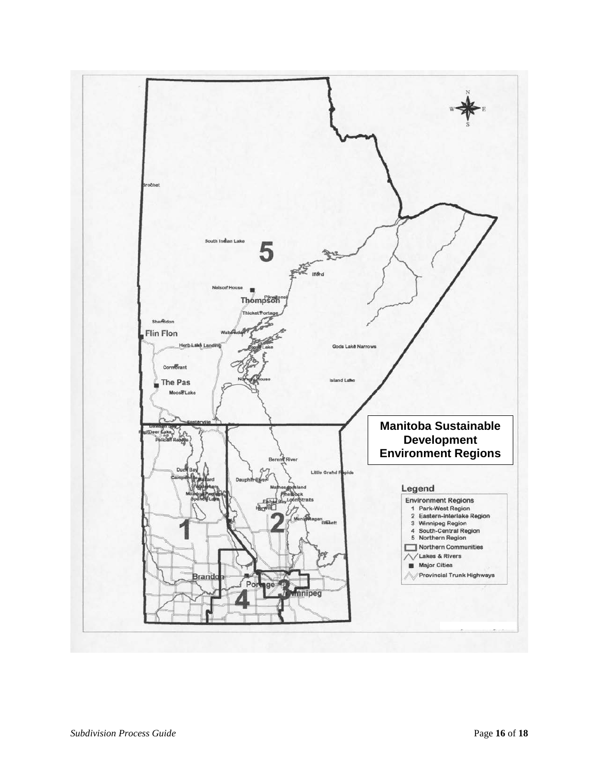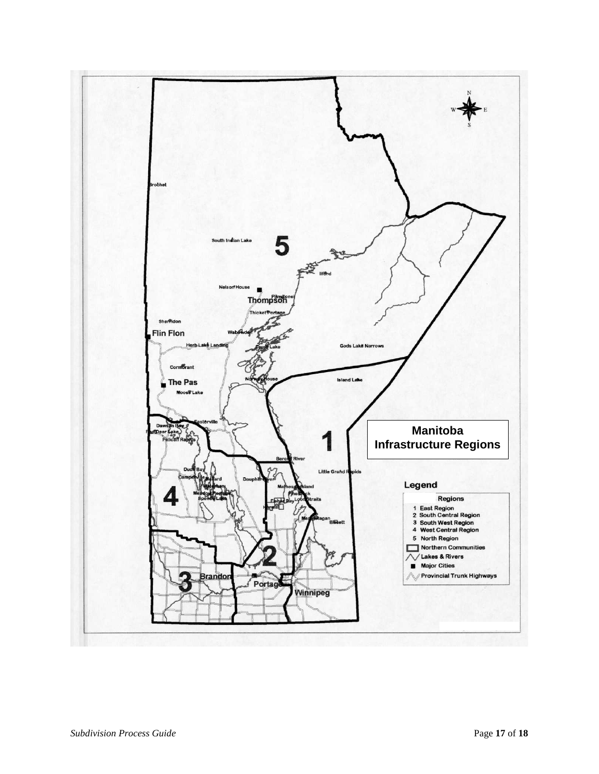